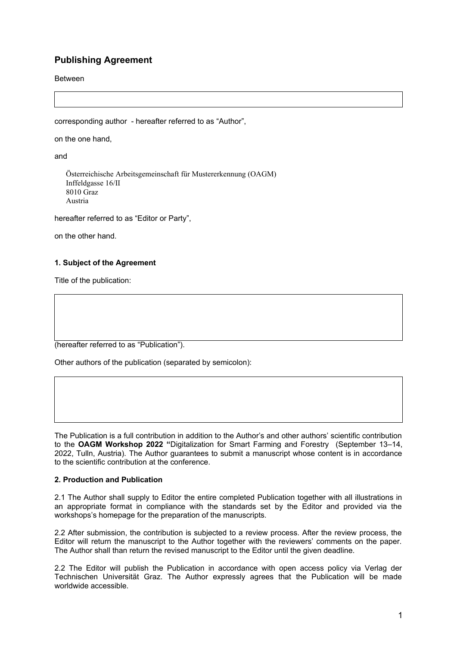# **Publishing Agreement**

Between

corresponding author - hereafter referred to as "Author",

on the one hand,

and

 Österreichische Arbeitsgemeinschaft für Mustererkennung (OAGM) Inffeldgasse 16/II 8010 Graz Austria

hereafter referred to as "Editor or Party",

on the other hand.

# **1. Subject of the Agreement**

Title of the publication:

(hereafter referred to as "Publication").

Other authors of the publication (separated by semicolon):

The Publication is a full contribution in addition to the Author's and other authors' scientific contribution to the **OAGM Workshop 2022 "**Digitalization for Smart Farming and Forestry (September 13–14, 2022, Tulln, Austria). The Author guarantees to submit a manuscript whose content is in accordance to the scientific contribution at the conference.

# **2. Production and Publication**

2.1 The Author shall supply to Editor the entire completed Publication together with all illustrations in an appropriate format in compliance with the standards set by the Editor and provided via the workshops's homepage for the preparation of the manuscripts.

2.2 After submission, the contribution is subjected to a review process. After the review process, the Editor will return the manuscript to the Author together with the reviewers' comments on the paper. The Author shall than return the revised manuscript to the Editor until the given deadline.

2.2 The Editor will publish the Publication in accordance with open access policy via Verlag der Technischen Universität Graz. The Author expressly agrees that the Publication will be made worldwide accessible.